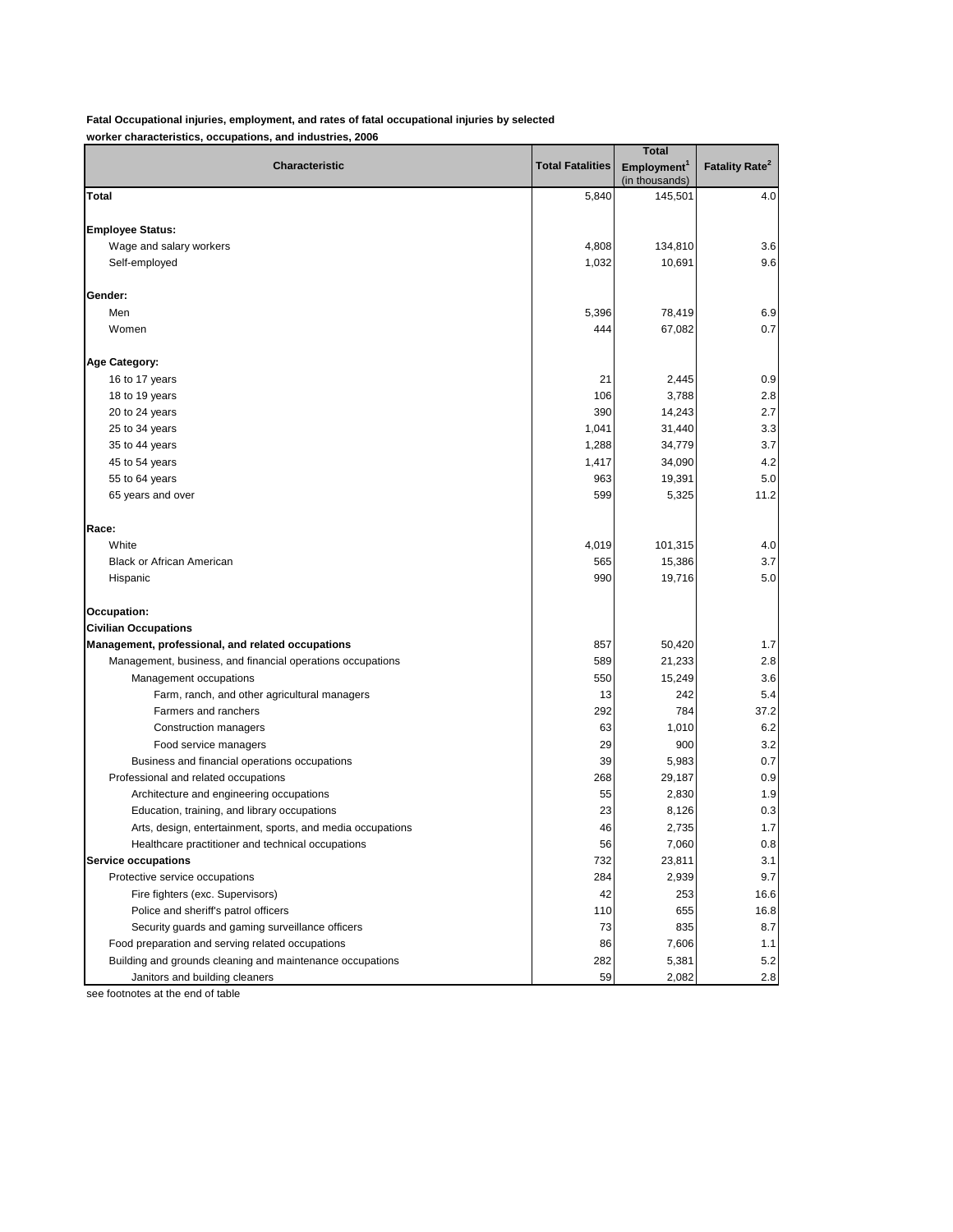**Fatal Occupational injuries, employment, and rates of fatal occupational injuries by selected worker characteristics, occupations, and industries, 2006**

|                                                                                             |                         | <b>Total</b>                              |                                  |
|---------------------------------------------------------------------------------------------|-------------------------|-------------------------------------------|----------------------------------|
| Characteristic                                                                              | <b>Total Fatalities</b> | Employment <sup>1</sup><br>(in thousands) | <b>Fatality Rate<sup>2</sup></b> |
| Total                                                                                       | 5,840                   | 145,501                                   | 4.0                              |
| <b>Employee Status:</b>                                                                     |                         |                                           |                                  |
| Wage and salary workers                                                                     | 4,808                   | 134,810                                   | 3.6                              |
| Self-employed                                                                               | 1,032                   | 10,691                                    | 9.6                              |
| Gender:                                                                                     |                         |                                           |                                  |
| Men                                                                                         | 5,396                   | 78,419                                    | 6.9                              |
| Women                                                                                       | 444                     | 67,082                                    | 0.7                              |
| <b>Age Category:</b>                                                                        |                         |                                           |                                  |
| 16 to 17 years                                                                              | 21                      | 2,445                                     | 0.9                              |
| 18 to 19 years                                                                              | 106                     | 3,788                                     | 2.8                              |
| 20 to 24 years                                                                              | 390                     | 14,243                                    | 2.7                              |
| 25 to 34 years                                                                              | 1,041                   | 31,440                                    | 3.3                              |
| 35 to 44 years                                                                              | 1,288                   | 34,779                                    | 3.7                              |
| 45 to 54 years                                                                              | 1,417                   | 34,090                                    | 4.2                              |
| 55 to 64 years                                                                              | 963                     | 19,391                                    | 5.0                              |
| 65 years and over                                                                           | 599                     | 5,325                                     | 11.2                             |
| Race:                                                                                       |                         |                                           |                                  |
| White                                                                                       | 4,019                   | 101,315                                   | 4.0                              |
| <b>Black or African American</b>                                                            | 565                     | 15,386                                    | 3.7                              |
| Hispanic                                                                                    | 990                     | 19,716                                    | 5.0                              |
| Occupation:                                                                                 |                         |                                           |                                  |
| <b>Civilian Occupations</b>                                                                 |                         |                                           |                                  |
| Management, professional, and related occupations                                           | 857                     | 50,420                                    | 1.7                              |
| Management, business, and financial operations occupations                                  | 589                     | 21,233                                    | 2.8                              |
| Management occupations                                                                      | 550                     | 15,249                                    | 3.6                              |
| Farm, ranch, and other agricultural managers                                                | 13                      | 242                                       | 5.4                              |
| Farmers and ranchers                                                                        | 292                     | 784                                       | 37.2                             |
| Construction managers                                                                       | 63                      | 1,010                                     | 6.2                              |
| Food service managers                                                                       | 29                      | 900                                       | 3.2                              |
| Business and financial operations occupations                                               | 39                      | 5,983                                     | 0.7                              |
| Professional and related occupations                                                        | 268                     | 29,187                                    | 0.9                              |
| Architecture and engineering occupations                                                    | 55                      | 2,830                                     | 1.9                              |
| Education, training, and library occupations                                                | 23                      | 8,126                                     | 0.3                              |
| Arts, design, entertainment, sports, and media occupations                                  | 46                      | 2,735                                     | 1.7                              |
| Healthcare practitioner and technical occupations                                           | 56                      | 7,060                                     | 0.8                              |
| <b>Service occupations</b>                                                                  | 732                     | 23,811                                    | 3.1                              |
| Protective service occupations                                                              | 284                     | 2,939                                     | 9.7                              |
| Fire fighters (exc. Supervisors)                                                            | 42                      | 253                                       | 16.6                             |
| Police and sheriff's patrol officers                                                        | 110                     | 655                                       | 16.8                             |
| Security guards and gaming surveillance officers                                            | 73                      | 835                                       | 8.7                              |
| Food preparation and serving related occupations                                            | 86                      | 7,606                                     | 1.1                              |
| Building and grounds cleaning and maintenance occupations<br>Janitors and building cleaners | 282<br>59               | 5,381<br>2,082                            | 5.2<br>2.8                       |

see footnotes at the end of table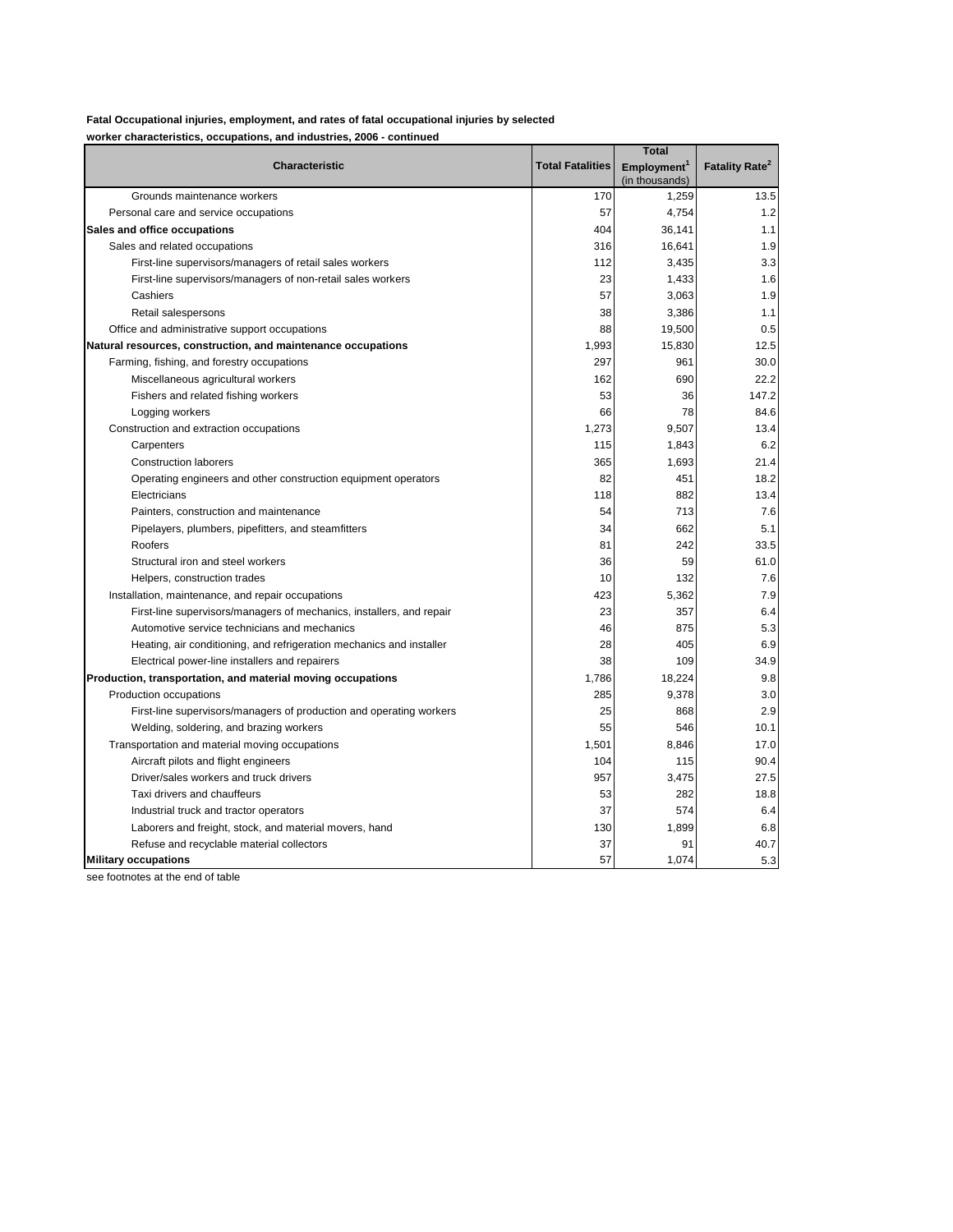## **Fatal Occupational injuries, employment, and rates of fatal occupational injuries by selected**

**worker characteristics, occupations, and industries, 2006 - continued**

|                                                                      |                         | <b>Total</b>            |                                  |
|----------------------------------------------------------------------|-------------------------|-------------------------|----------------------------------|
| <b>Characteristic</b>                                                | <b>Total Fatalities</b> | Employment <sup>1</sup> | <b>Fatality Rate<sup>2</sup></b> |
|                                                                      |                         | (in thousands)          |                                  |
| Grounds maintenance workers                                          | 170                     | 1,259                   | 13.5                             |
| Personal care and service occupations                                | 57                      | 4,754                   | 1.2                              |
| Sales and office occupations                                         | 404                     | 36,141                  | 1.1                              |
| Sales and related occupations                                        | 316                     | 16,641                  | 1.9                              |
| First-line supervisors/managers of retail sales workers              | 112                     | 3,435                   | 3.3                              |
| First-line supervisors/managers of non-retail sales workers          | 23                      | 1,433                   | 1.6                              |
| Cashiers                                                             | 57                      | 3,063                   | 1.9                              |
| Retail salespersons                                                  | 38                      | 3,386                   | 1.1                              |
| Office and administrative support occupations                        | 88                      | 19,500                  | 0.5                              |
| Natural resources, construction, and maintenance occupations         | 1,993                   | 15,830                  | 12.5                             |
| Farming, fishing, and forestry occupations                           | 297                     | 961                     | 30.0                             |
| Miscellaneous agricultural workers                                   | 162                     | 690                     | 22.2                             |
| Fishers and related fishing workers                                  | 53                      | 36                      | 147.2                            |
| Logging workers                                                      | 66                      | 78                      | 84.6                             |
| Construction and extraction occupations                              | 1,273                   | 9,507                   | 13.4                             |
| Carpenters                                                           | 115                     | 1,843                   | 6.2                              |
| <b>Construction laborers</b>                                         | 365                     | 1,693                   | 21.4                             |
| Operating engineers and other construction equipment operators       | 82                      | 451                     | 18.2                             |
| Electricians                                                         | 118                     | 882                     | 13.4                             |
| Painters, construction and maintenance                               | 54                      | 713                     | 7.6                              |
| Pipelayers, plumbers, pipefitters, and steamfitters                  | 34                      | 662                     | 5.1                              |
| Roofers                                                              | 81                      | 242                     | 33.5                             |
| Structural iron and steel workers                                    | 36                      | 59                      | 61.0                             |
| Helpers, construction trades                                         | 10                      | 132                     | 7.6                              |
| Installation, maintenance, and repair occupations                    | 423                     | 5,362                   | 7.9                              |
| First-line supervisors/managers of mechanics, installers, and repair | 23                      | 357                     | 6.4                              |
| Automotive service technicians and mechanics                         | 46                      | 875                     | 5.3                              |
| Heating, air conditioning, and refrigeration mechanics and installer | 28                      | 405                     | 6.9                              |
| Electrical power-line installers and repairers                       | 38                      | 109                     | 34.9                             |
| Production, transportation, and material moving occupations          | 1,786                   | 18,224                  | 9.8                              |
| Production occupations                                               | 285                     | 9,378                   | 3.0                              |
| First-line supervisors/managers of production and operating workers  | 25                      | 868                     | 2.9                              |
| Welding, soldering, and brazing workers                              | 55                      | 546                     | 10.1                             |
| Transportation and material moving occupations                       | 1,501                   | 8,846                   | 17.0                             |
| Aircraft pilots and flight engineers                                 | 104                     | 115                     | 90.4                             |
| Driver/sales workers and truck drivers                               | 957                     | 3,475                   | 27.5                             |
| Taxi drivers and chauffeurs                                          | 53                      | 282                     | 18.8                             |
| Industrial truck and tractor operators                               | 37                      | 574                     | 6.4                              |
| Laborers and freight, stock, and material movers, hand               | 130                     | 1,899                   | 6.8                              |
| Refuse and recyclable material collectors                            | 37                      | 91                      | 40.7                             |
| <b>Military occupations</b>                                          | 57                      | 1,074                   | 5.3                              |

see footnotes at the end of table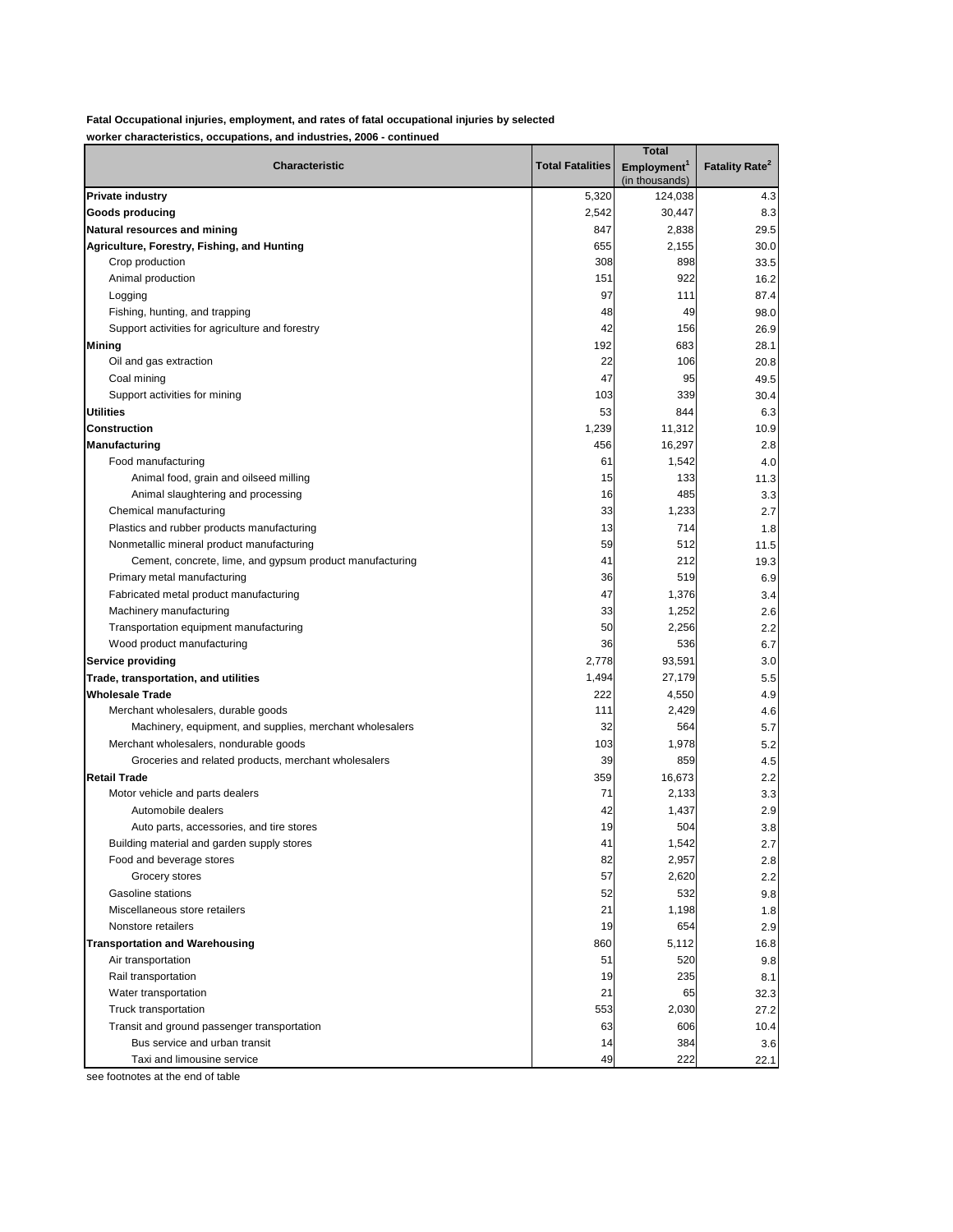**worker characteristics, occupations, and industries, 2006 - continued**

|                                                          |                         | <b>Total</b>                              |                            |
|----------------------------------------------------------|-------------------------|-------------------------------------------|----------------------------|
| Characteristic                                           | <b>Total Fatalities</b> | Employment <sup>1</sup><br>(in thousands) | Fatality Rate <sup>2</sup> |
| <b>Private industry</b>                                  | 5,320                   | 124,038                                   | 4.3                        |
| Goods producing                                          | 2,542                   | 30,447                                    | 8.3                        |
| Natural resources and mining                             | 847                     | 2,838                                     | 29.5                       |
| Agriculture, Forestry, Fishing, and Hunting              | 655                     | 2,155                                     | 30.0                       |
| Crop production                                          | 308                     | 898                                       | 33.5                       |
| Animal production                                        | 151                     | 922                                       | 16.2                       |
| Logging                                                  | 97                      | 111                                       | 87.4                       |
| Fishing, hunting, and trapping                           | 48                      | 49                                        | 98.0                       |
| Support activities for agriculture and forestry          | 42                      | 156                                       | 26.9                       |
| <b>Mining</b>                                            | 192                     | 683                                       | 28.1                       |
| Oil and gas extraction                                   | 22                      | 106                                       | 20.8                       |
| Coal mining                                              | 47                      | 95                                        | 49.5                       |
| Support activities for mining                            | 103                     | 339                                       | 30.4                       |
| <b>Utilities</b>                                         | 53                      | 844                                       | 6.3                        |
| <b>Construction</b>                                      | 1,239                   | 11,312                                    | 10.9                       |
| Manufacturing                                            | 456                     | 16,297                                    | 2.8                        |
| Food manufacturing                                       | 61                      | 1,542                                     | 4.0                        |
| Animal food, grain and oilseed milling                   | 15                      | 133                                       | 11.3                       |
| Animal slaughtering and processing                       | 16                      | 485                                       | 3.3                        |
| Chemical manufacturing                                   | 33                      | 1,233                                     | 2.7                        |
| Plastics and rubber products manufacturing               | 13                      | 714                                       | 1.8                        |
| Nonmetallic mineral product manufacturing                | 59                      | 512                                       | 11.5                       |
| Cement, concrete, lime, and gypsum product manufacturing | 41                      | 212                                       | 19.3                       |
| Primary metal manufacturing                              | 36                      | 519                                       | 6.9                        |
| Fabricated metal product manufacturing                   | 47                      | 1,376                                     | 3.4                        |
| Machinery manufacturing                                  | 33                      | 1,252                                     | 2.6                        |
| Transportation equipment manufacturing                   | 50                      | 2,256                                     | 2.2                        |
| Wood product manufacturing                               | 36                      | 536                                       | 6.7                        |
| Service providing                                        | 2,778                   | 93,591                                    | 3.0                        |
| Trade, transportation, and utilities                     | 1,494                   | 27,179                                    | 5.5                        |
| <b>Wholesale Trade</b>                                   | 222                     | 4,550                                     | 4.9                        |
| Merchant wholesalers, durable goods                      | 111                     | 2,429                                     | 4.6                        |
| Machinery, equipment, and supplies, merchant wholesalers | 32                      | 564                                       | 5.7                        |
| Merchant wholesalers, nondurable goods                   | 103                     | 1,978                                     | 5.2                        |
| Groceries and related products, merchant wholesalers     | 39                      | 859                                       | 4.5                        |
| <b>Retail Trade</b>                                      | 359                     | 16,673                                    | 2.2                        |
| Motor vehicle and parts dealers                          | 71                      | 2,133                                     | 3.3                        |
| Automobile dealers                                       | 42                      | 1,437                                     | 2.9                        |
| Auto parts, accessories, and tire stores                 | 19                      | 504                                       | 3.8                        |
| Building material and garden supply stores               | 41                      | 1,542                                     | 2.7                        |
| Food and beverage stores                                 | 82                      | 2,957                                     | 2.8                        |
| Grocery stores                                           | 57                      | 2,620                                     | 2.2                        |
| Gasoline stations<br>Miscellaneous store retailers       | 52                      | 532                                       | 9.8                        |
|                                                          | 21                      | 1,198                                     | 1.8                        |
| Nonstore retailers                                       | 19                      | 654                                       | 2.9                        |
| <b>Transportation and Warehousing</b>                    | 860<br>51               | 5,112<br>520                              | 16.8                       |
| Air transportation<br>Rail transportation                | 19                      | 235                                       | 9.8<br>8.1                 |
|                                                          |                         |                                           |                            |
| Water transportation<br>Truck transportation             | 21<br>553               | 65<br>2,030                               | 32.3<br>27.2               |
| Transit and ground passenger transportation              | 63                      | 606                                       | 10.4                       |
| Bus service and urban transit                            | 14                      | 384                                       | 3.6                        |
| Taxi and limousine service                               | 49                      | 222                                       | 22.1                       |
|                                                          |                         |                                           |                            |

see footnotes at the end of table